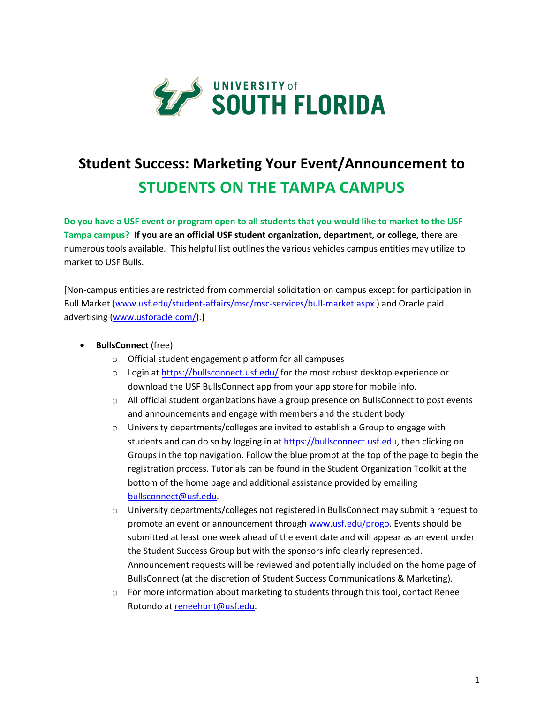

# **Student Success: Marketing Your Event/Announcement to STUDENTS ON THE TAMPA CAMPUS**

**Do you have a USF event or program open to all students that you would like to market to the USF Tampa campus? If you are an official USF student organization, department, or college,** there are numerous tools available. This helpful list outlines the various vehicles campus entities may utilize to market to USF Bulls.

[Non-campus entities are restricted from commercial solicitation on campus except for participation in Bull Market (www.usf.edu/student-affairs/msc/msc-services/bull-market.aspx ) and Oracle paid advertising (www.usforacle.com/).]

### • **BullsConnect** (free)

- o Official student engagement platform for all campuses
- $\circ$  Login at https://bullsconnect.usf.edu/ for the most robust desktop experience or download the USF BullsConnect app from your app store for mobile info.
- o All official student organizations have a group presence on BullsConnect to post events and announcements and engage with members and the student body
- $\circ$  University departments/colleges are invited to establish a Group to engage with students and can do so by logging in at https://bullsconnect.usf.edu, then clicking on Groups in the top navigation. Follow the blue prompt at the top of the page to begin the registration process. Tutorials can be found in the Student Organization Toolkit at the bottom of the home page and additional assistance provided by emailing bullsconnect@usf.edu.
- $\circ$  University departments/colleges not registered in BullsConnect may submit a request to promote an event or announcement through www.usf.edu/progo. Events should be submitted at least one week ahead of the event date and will appear as an event under the Student Success Group but with the sponsors info clearly represented. Announcement requests will be reviewed and potentially included on the home page of BullsConnect (at the discretion of Student Success Communications & Marketing).
- $\circ$  For more information about marketing to students through this tool, contact Renee Rotondo at reneehunt@usf.edu.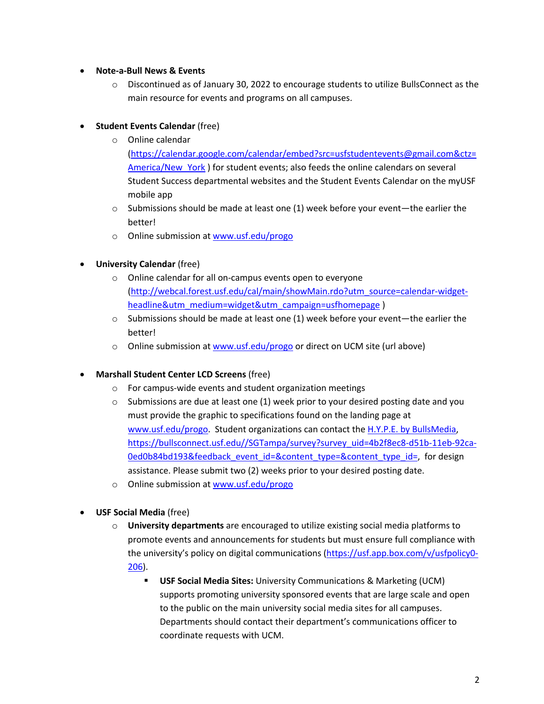#### • **Note-a-Bull News & Events**

 $\circ$  Discontinued as of January 30, 2022 to encourage students to utilize BullsConnect as the main resource for events and programs on all campuses.

## **Student Events Calendar (free)**

- o Online calendar (https://calendar.google.com/calendar/embed?src=usfstudentevents@gmail.com&ctz= America/New York ) for student events; also feeds the online calendars on several Student Success departmental websites and the Student Events Calendar on the myUSF mobile app
- $\circ$  Submissions should be made at least one (1) week before your event—the earlier the better!
- o Online submission at www.usf.edu/progo
- **University Calendar** (free)
	- o Online calendar for all on-campus events open to everyone (http://webcal.forest.usf.edu/cal/main/showMain.rdo?utm\_source=calendar-widgetheadline&utm\_medium=widget&utm\_campaign=usfhomepage )
	- $\circ$  Submissions should be made at least one (1) week before your event—the earlier the better!
	- o Online submission at www.usf.edu/progo or direct on UCM site (url above)

#### • **Marshall Student Center LCD Screens** (free)

- o For campus-wide events and student organization meetings
- $\circ$  Submissions are due at least one (1) week prior to your desired posting date and you must provide the graphic to specifications found on the landing page at www.usf.edu/progo. Student organizations can contact the H.Y.P.E. by BullsMedia, https://bullsconnect.usf.edu//SGTampa/survey?survey\_uid=4b2f8ec8-d51b-11eb-92ca-0ed0b84bd193&feedback\_event\_id=&content\_type=&content\_type\_id=, for design assistance. Please submit two (2) weeks prior to your desired posting date.
- o Online submission at www.usf.edu/progo
- **USF Social Media** (free)
	- o **University departments** are encouraged to utilize existing social media platforms to promote events and announcements for students but must ensure full compliance with the university's policy on digital communications (https://usf.app.box.com/v/usfpolicy0- 206).
		- § **USF Social Media Sites:** University Communications & Marketing (UCM) supports promoting university sponsored events that are large scale and open to the public on the main university social media sites for all campuses. Departments should contact their department's communications officer to coordinate requests with UCM.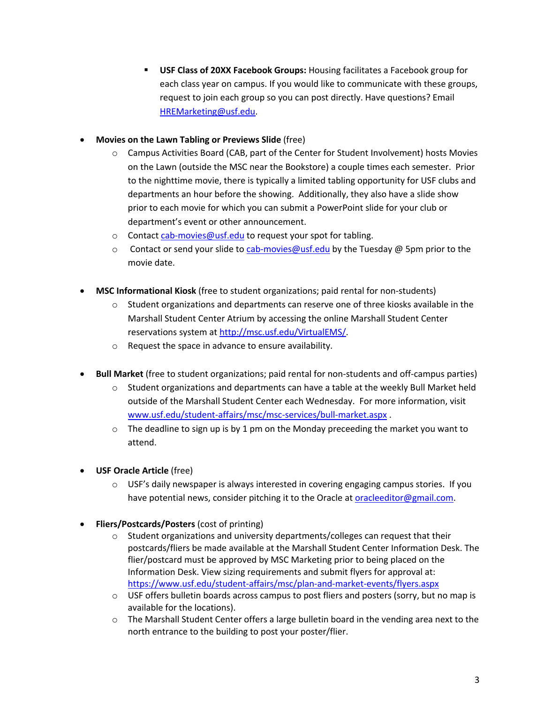- § **USF Class of 20XX Facebook Groups:** Housing facilitates a Facebook group for each class year on campus. If you would like to communicate with these groups, request to join each group so you can post directly. Have questions? Email HREMarketing@usf.edu.
- **Movies on the Lawn Tabling or Previews Slide** (free)
	- o Campus Activities Board (CAB, part of the Center for Student Involvement) hosts Movies on the Lawn (outside the MSC near the Bookstore) a couple times each semester. Prior to the nighttime movie, there is typically a limited tabling opportunity for USF clubs and departments an hour before the showing. Additionally, they also have a slide show prior to each movie for which you can submit a PowerPoint slide for your club or department's event or other announcement.
	- o Contact cab-movies@usf.edu to request your spot for tabling.
	- $\circ$  Contact or send your slide to cab-movies @usf.edu by the Tuesday @ 5pm prior to the movie date.
- **MSC Informational Kiosk** (free to student organizations; paid rental for non-students)
	- $\circ$  Student organizations and departments can reserve one of three kiosks available in the Marshall Student Center Atrium by accessing the online Marshall Student Center reservations system at http://msc.usf.edu/VirtualEMS/.
	- o Request the space in advance to ensure availability.
- **Bull Market** (free to student organizations; paid rental for non-students and off-campus parties)
	- $\circ$  Student organizations and departments can have a table at the weekly Bull Market held outside of the Marshall Student Center each Wednesday. For more information, visit www.usf.edu/student-affairs/msc/msc-services/bull-market.aspx .
	- $\circ$  The deadline to sign up is by 1 pm on the Monday preceeding the market you want to attend.
- **USF Oracle Article** (free)
	- $\circ$  USF's daily newspaper is always interested in covering engaging campus stories. If you have potential news, consider pitching it to the Oracle at oracleeditor@gmail.com.
- **Fliers/Postcards/Posters** (cost of printing)
	- $\circ$  Student organizations and university departments/colleges can request that their postcards/fliers be made available at the Marshall Student Center Information Desk. The flier/postcard must be approved by MSC Marketing prior to being placed on the Information Desk. View sizing requirements and submit flyers for approval at: https://www.usf.edu/student-affairs/msc/plan-and-market-events/flyers.aspx
	- $\circ$  USF offers bulletin boards across campus to post fliers and posters (sorry, but no map is available for the locations).
	- o The Marshall Student Center offers a large bulletin board in the vending area next to the north entrance to the building to post your poster/flier.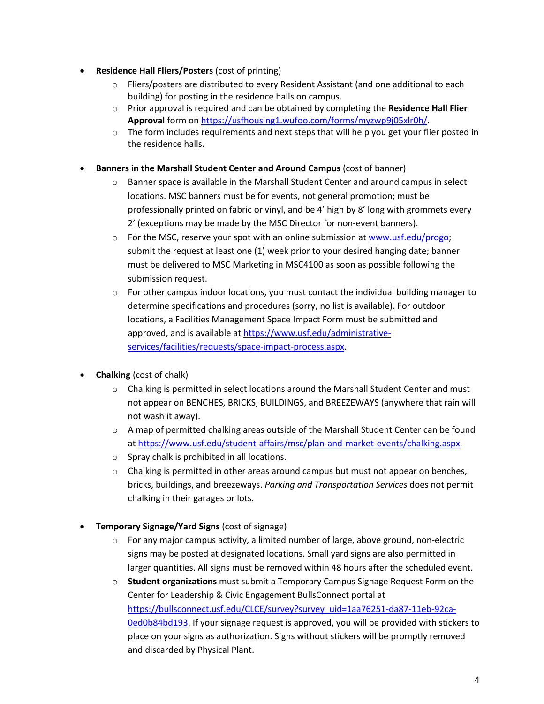- **Residence Hall Fliers/Posters** (cost of printing)
	- $\circ$  Fliers/posters are distributed to every Resident Assistant (and one additional to each building) for posting in the residence halls on campus.
	- o Prior approval is required and can be obtained by completing the **Residence Hall Flier Approval** form on https://usfhousing1.wufoo.com/forms/myzwp9j05xlr0h/.
	- $\circ$  The form includes requirements and next steps that will help you get your flier posted in the residence halls.
- **Banners in the Marshall Student Center and Around Campus** (cost of banner)
	- $\circ$  Banner space is available in the Marshall Student Center and around campus in select locations. MSC banners must be for events, not general promotion; must be professionally printed on fabric or vinyl, and be 4' high by 8' long with grommets every 2' (exceptions may be made by the MSC Director for non-event banners).
	- $\circ$  For the MSC, reserve your spot with an online submission at www.usf.edu/progo; submit the request at least one (1) week prior to your desired hanging date; banner must be delivered to MSC Marketing in MSC4100 as soon as possible following the submission request.
	- $\circ$  For other campus indoor locations, you must contact the individual building manager to determine specifications and procedures (sorry, no list is available). For outdoor locations, a Facilities Management Space Impact Form must be submitted and approved, and is available at https://www.usf.edu/administrativeservices/facilities/requests/space-impact-process.aspx.
- **Chalking** (cost of chalk)
	- $\circ$  Chalking is permitted in select locations around the Marshall Student Center and must not appear on BENCHES, BRICKS, BUILDINGS, and BREEZEWAYS (anywhere that rain will not wash it away).
	- o A map of permitted chalking areas outside of the Marshall Student Center can be found at https://www.usf.edu/student-affairs/msc/plan-and-market-events/chalking.aspx.
	- o Spray chalk is prohibited in all locations.
	- $\circ$  Chalking is permitted in other areas around campus but must not appear on benches, bricks, buildings, and breezeways. *Parking and Transportation Services* does not permit chalking in their garages or lots.
- **Temporary Signage/Yard Signs** (cost of signage)
	- $\circ$  For any major campus activity, a limited number of large, above ground, non-electric signs may be posted at designated locations. Small yard signs are also permitted in larger quantities. All signs must be removed within 48 hours after the scheduled event.
	- o **Student organizations** must submit a Temporary Campus Signage Request Form on the Center for Leadership & Civic Engagement BullsConnect portal at https://bullsconnect.usf.edu/CLCE/survey?survey\_uid=1aa76251-da87-11eb-92ca-0ed0b84bd193. If your signage request is approved, you will be provided with stickers to place on your signs as authorization. Signs without stickers will be promptly removed and discarded by Physical Plant.